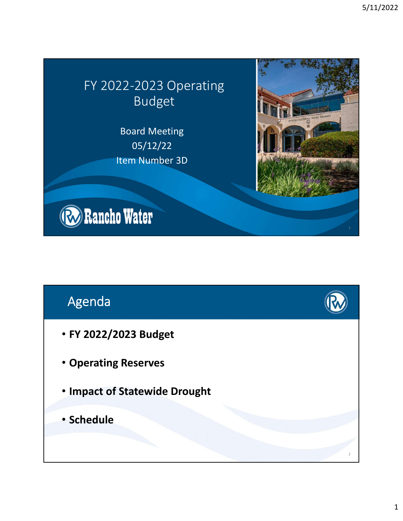### FY 2022-2023 Operating Budget

Board Meeting 05/12/22 Item Number 3D



# Agenda

- **FY 2022/2023 Budget**
- **Operating Reserves**
- **Impact of Statewide Drought**
- **Schedule**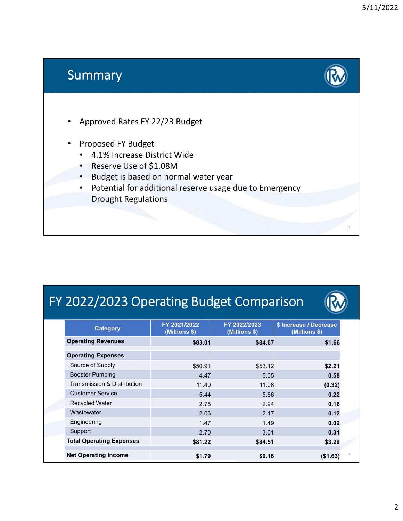3

#### Summary

- Approved Rates FY 22/23 Budget
- Proposed FY Budget
	- 4.1% Increase District Wide
	- Reserve Use of \$1.08M
	- Budget is based on normal water year
	- Potential for additional reserve usage due to Emergency Drought Regulations

# FY 2022/2023 Operating Budget Comparison

| <b>Category</b>                 | FY 2021/2022<br>(Millions \$) | FY 2022/2023<br>(Millions \$) | \$ Increase / Decrease<br>(Millions \$) |
|---------------------------------|-------------------------------|-------------------------------|-----------------------------------------|
| <b>Operating Revenues</b>       | \$83.01                       | \$84.67                       | \$1.66                                  |
| <b>Operating Expenses</b>       |                               |                               |                                         |
| Source of Supply                | \$50.91                       | \$53.12                       | \$2.21                                  |
| <b>Booster Pumping</b>          | 4.47                          | 5.05                          | 0.58                                    |
| Transmission & Distribution     | 11.40                         | 11.08                         | (0.32)                                  |
| <b>Customer Service</b>         | 5.44                          | 5.66                          | 0.22                                    |
| <b>Recycled Water</b>           | 2.78                          | 2.94                          | 0.16                                    |
| Wastewater                      | 2.06                          | 2.17                          | 0.12                                    |
| Engineering                     | 1.47                          | 1.49                          | 0.02                                    |
| Support                         | 2.70                          | 3.01                          | 0.31                                    |
| <b>Total Operating Expenses</b> | \$81.22                       | \$84.51                       | \$3.29                                  |
| <b>Net Operating Income</b>     | \$1.79                        | \$0.16                        | (\$1.63)                                |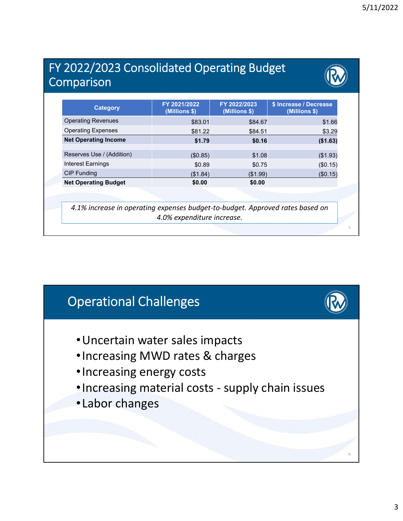#### FY 2022/2023 Consolidated Operating Budget Comparison

| \$83.01<br>\$81.22<br>\$1.79<br>(\$0.85)<br>\$0.89<br>(\$1.84) | \$84.67<br>\$84.51<br>\$0.16<br>\$1.08<br>\$0.75 | \$1.66<br>\$3.29<br>(\$1.63)<br>(\$1.93)<br>(\$0.15)                                                        |
|----------------------------------------------------------------|--------------------------------------------------|-------------------------------------------------------------------------------------------------------------|
|                                                                |                                                  |                                                                                                             |
|                                                                |                                                  |                                                                                                             |
|                                                                |                                                  |                                                                                                             |
|                                                                |                                                  |                                                                                                             |
|                                                                |                                                  |                                                                                                             |
|                                                                | (\$1.99)                                         | (\$0.15)                                                                                                    |
| \$0.00                                                         | \$0.00                                           |                                                                                                             |
|                                                                |                                                  |                                                                                                             |
|                                                                |                                                  |                                                                                                             |
|                                                                |                                                  | 4.1% increase in operating expenses budget-to-budget. Approved rates based on<br>4.0% expenditure increase. |

#### Operational Challenges

- •Uncertain water sales impacts
- •Increasing MWD rates & charges
- •Increasing energy costs
- •Increasing material costs supply chain issues
- •Labor changes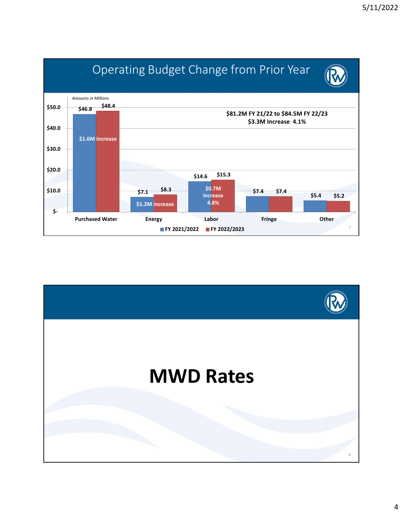

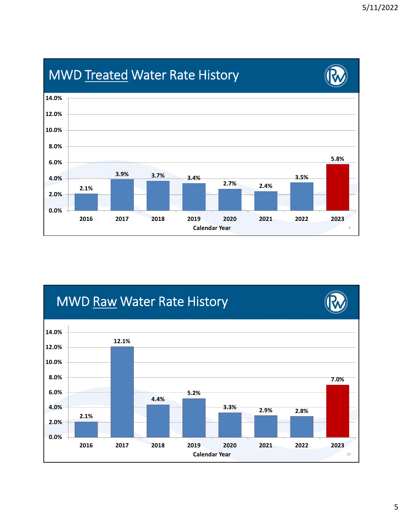

# **MWD Treated Water Rate History**

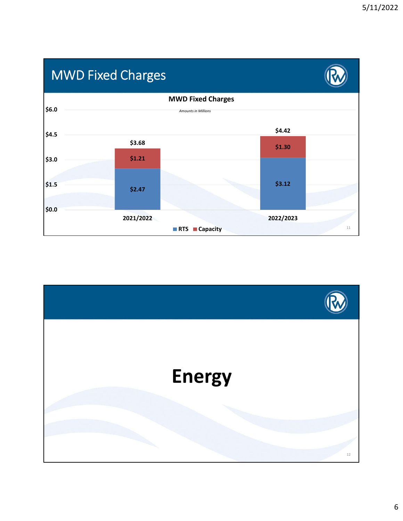# MWD Fixed Charges



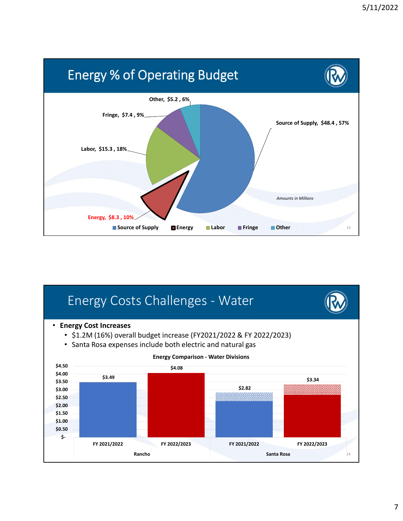

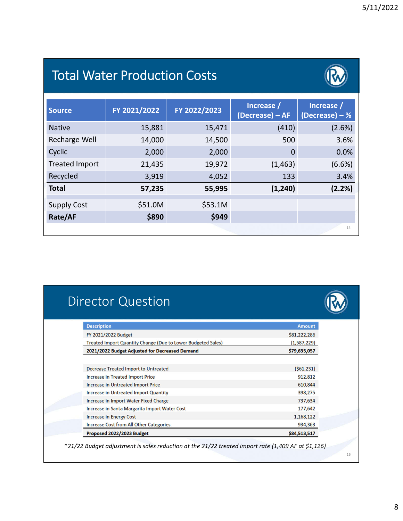### Total Water Production Costs



| <b>Source</b>         | FY 2021/2022 | FY 2022/2023 | Increase /<br>(Decrease) - AF | Increase /<br>$(Decrease) - %$ |
|-----------------------|--------------|--------------|-------------------------------|--------------------------------|
| <b>Native</b>         | 15,881       | 15,471       | (410)                         | (2.6%)                         |
| <b>Recharge Well</b>  | 14,000       | 14,500       | 500                           | 3.6%                           |
| Cyclic                | 2,000        | 2,000        | 0                             | 0.0%                           |
| <b>Treated Import</b> | 21,435       | 19,972       | (1, 463)                      | $(6.6\%)$                      |
| Recycled              | 3,919        | 4,052        | 133                           | 3.4%                           |
| <b>Total</b>          | 57,235       | 55,995       | (1, 240)                      | (2.2%)                         |
| <b>Supply Cost</b>    | \$51.0M      | \$53.1M      |                               |                                |
| Rate/AF               | \$890        | \$949        |                               |                                |
|                       |              |              |                               | 15                             |

### Director Question

| <b>Description</b>                                           | <b>Amount</b> |
|--------------------------------------------------------------|---------------|
| FY 2021/2022 Budget                                          | \$81,222,286  |
| Treated Import Quantity Change (Due to Lower Budgeted Sales) | (1,587,229)   |
| 2021/2022 Budget Adjusted for Decreased Demand               | \$79,635,057  |
|                                                              |               |
| <b>Decrease Treated Import to Untreated</b>                  | (561, 231)    |
| <b>Increase in Treated Import Price</b>                      | 912,812       |
| <b>Increase in Untreated Import Price</b>                    | 610,844       |
| <b>Increase in Untreated Import Quantity</b>                 | 398,275       |
| Increase in Import Water Fixed Charge                        | 737,634       |
| Increase in Santa Margarita Import Water Cost                | 177,642       |
| <b>Increase in Energy Cost</b>                               | 1,168,122     |
| <b>Increase Cost from All Other Categories</b>               | 934,363       |
| Proposed 2022/2023 Budget                                    | \$84,513,517  |

\**21/22 Budget adjustment is sales reduction at the 21/22 treated import rate (1,409 AF at \$1,126)*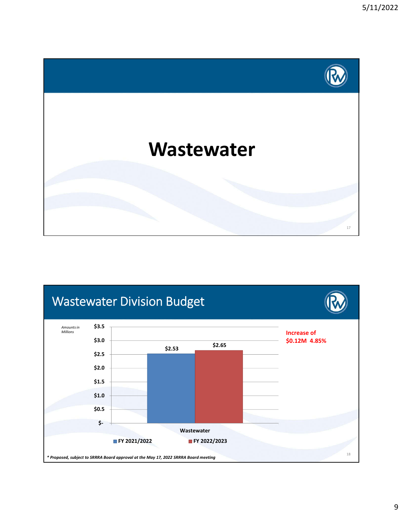

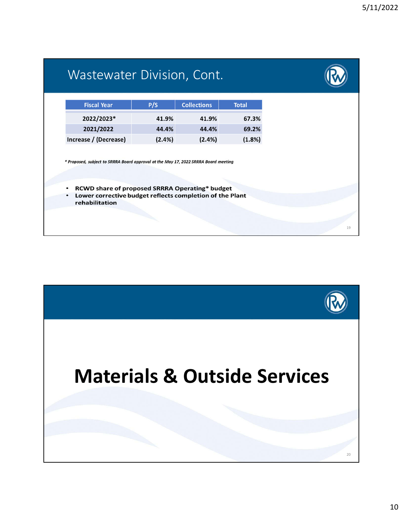| <b>Fiscal Year</b>                                                                  | P/S    | <b>Collections</b> | <b>Total</b> |  |
|-------------------------------------------------------------------------------------|--------|--------------------|--------------|--|
| 2022/2023*                                                                          | 41.9%  | 41.9%              | 67.3%        |  |
| 2021/2022                                                                           | 44.4%  | 44.4%              | 69.2%        |  |
| Increase / (Decrease)                                                               | (2.4%) | (2.4%)             | (1.8%)       |  |
| * Proposed, subject to SRRRA Board approval at the May 17, 2022 SRRRA Board meeting |        |                    |              |  |
|                                                                                     |        |                    |              |  |
| <b>RCWD share of proposed SRRRA Operating* budget</b><br>٠                          |        |                    |              |  |

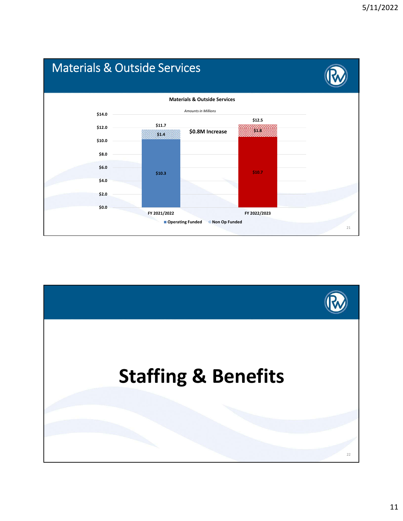

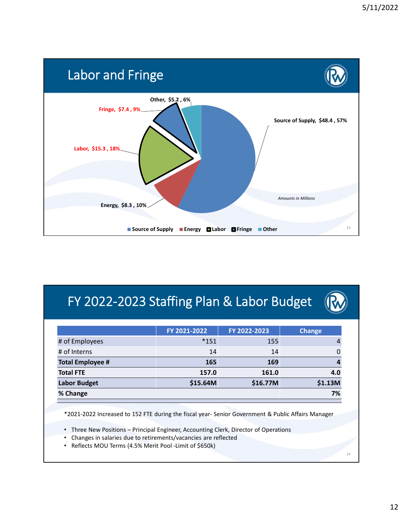

# FY 2022-2023 Staffing Plan & Labor Budget

|                         | FY 2021-2022 | FY 2022-2023 | <b>Change</b> |
|-------------------------|--------------|--------------|---------------|
| # of Employees          | $*151$       | 155          | 4             |
| # of Interns            | 14           | 14           |               |
| <b>Total Employee #</b> | 165          | 169          |               |
| <b>Total FTE</b>        | 157.0        | 161.0        | 4.0           |
| <b>Labor Budget</b>     | \$15.64M     | \$16.77M     | \$1.13M       |
| % Change                | 7%           |              |               |

\*2021-2022 Increased to 152 FTE during the fiscal year- Senior Government & Public Affairs Manager

• Three New Positions – Principal Engineer, Accounting Clerk, Director of Operations

- Changes in salaries due to retirements/vacancies are reflected
- Reflects MOU Terms (4.5% Merit Pool -Limit of \$650k)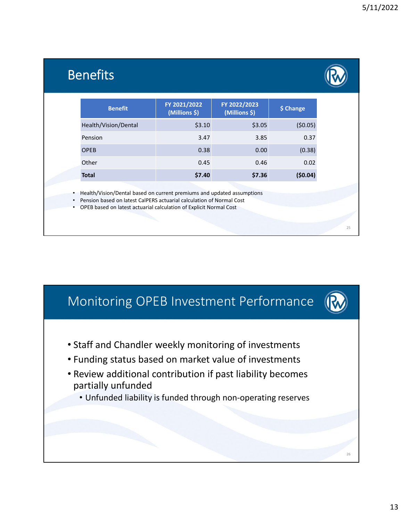#### Benefits

 $25$ 

26

| <b>Benefit</b>       | FY 2021/2022<br>(Millions \$) | FY 2022/2023<br>(Millions \$) | \$ Change |
|----------------------|-------------------------------|-------------------------------|-----------|
| Health/Vision/Dental | \$3.10                        | \$3.05                        | (50.05)   |
| Pension              | 3.47                          | 3.85                          | 0.37      |
| <b>OPEB</b>          | 0.38                          | 0.00                          | (0.38)    |
| Other                | 0.45                          | 0.46                          | 0.02      |
| <b>Total</b>         | \$7.40                        | \$7.36                        | (50.04)   |
|                      |                               |                               |           |

• Health/Vision/Dental based on current premiums and updated assumptions

• Pension based on latest CalPERS actuarial calculation of Normal Cost • OPEB based on latest actuarial calculation of Explicit Normal Cost

Monitoring OPEB Investment Performance

- Staff and Chandler weekly monitoring of investments
- Funding status based on market value of investments
- Review additional contribution if past liability becomes partially unfunded
	- Unfunded liability is funded through non-operating reserves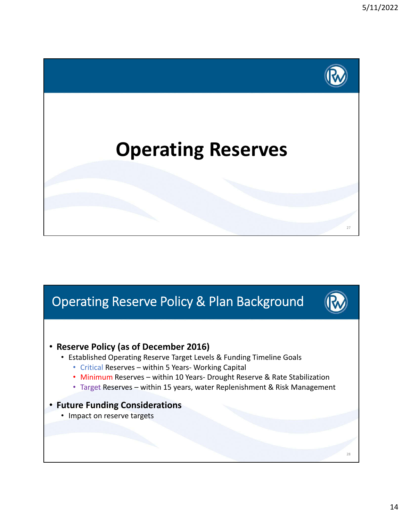

### Operating Reserve Policy & Plan Background

#### • **Reserve Policy (as of December 2016)**

- Established Operating Reserve Target Levels & Funding Timeline Goals
	- Critical Reserves within 5 Years- Working Capital
	- Minimum Reserves within 10 Years- Drought Reserve & Rate Stabilization
	- Target Reserves within 15 years, water Replenishment & Risk Management

#### • **Future Funding Considerations**

• Impact on reserve targets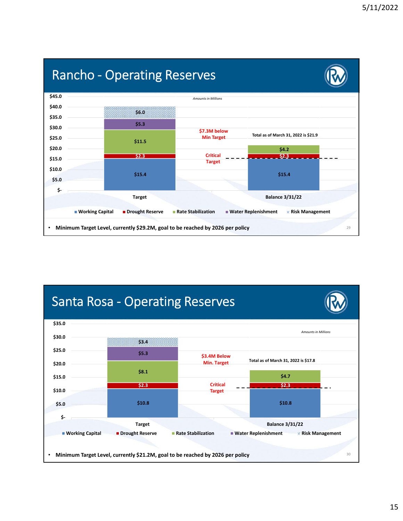### Rancho - Operating Reserves



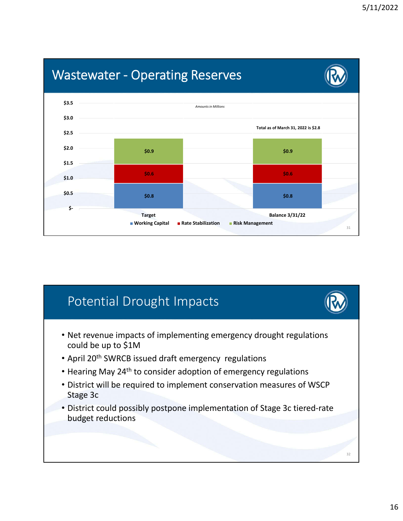

### Potential Drought Impacts

- Net revenue impacts of implementing emergency drought regulations could be up to \$1M
- April 20<sup>th</sup> SWRCB issued draft emergency regulations
- Hearing May 24<sup>th</sup> to consider adoption of emergency regulations
- District will be required to implement conservation measures of WSCP Stage 3c
- District could possibly postpone implementation of Stage 3c tiered-rate budget reductions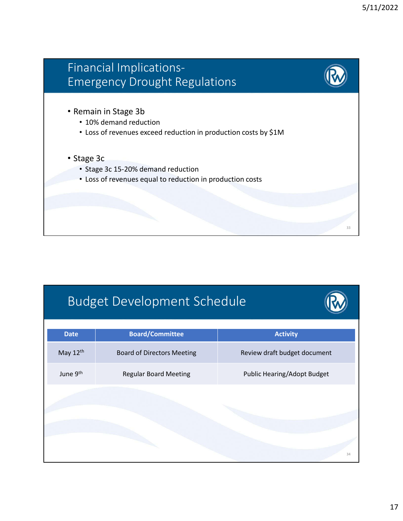

| <b>Date</b> | <b>Board/Committee</b>            | <b>Activity</b>                    |
|-------------|-----------------------------------|------------------------------------|
| May 12th    | <b>Board of Directors Meeting</b> | Review draft budget document       |
| June 9th    | <b>Regular Board Meeting</b>      | <b>Public Hearing/Adopt Budget</b> |
|             |                                   |                                    |
|             |                                   |                                    |
|             |                                   |                                    |
|             |                                   | 34                                 |